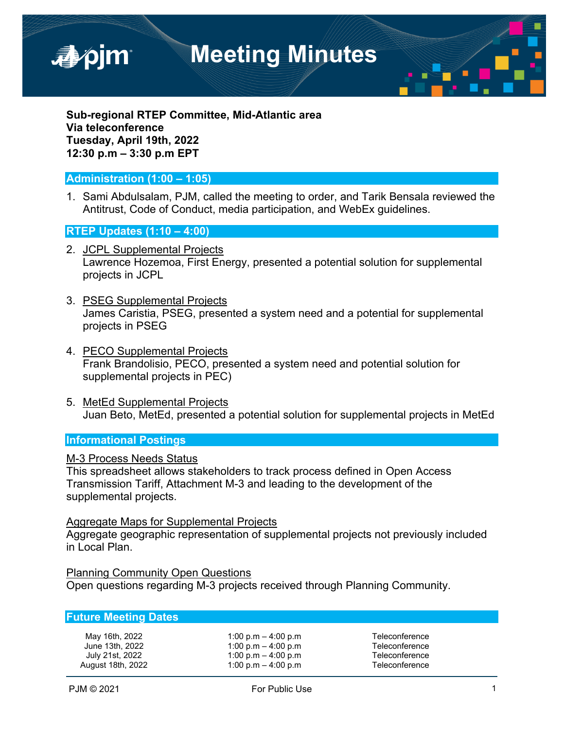

**Sub-regional RTEP Committee, Mid-Atlantic area Via teleconference Tuesday, April 19th, 2022 12:30 p.m – 3:30 p.m EPT**

# **Administration (1:00 – 1:05)**

1. Sami Abdulsalam, PJM, called the meeting to order, and Tarik Bensala reviewed the Antitrust, Code of Conduct, media participation, and WebEx guidelines.

#### **RTEP Updates (1:10 – 4:00)**

- 2. JCPL Supplemental Projects Lawrence Hozemoa, First Energy, presented a potential solution for supplemental projects in JCPL
- 3. PSEG Supplemental Projects James Caristia, PSEG, presented a system need and a potential for supplemental projects in PSEG
- 4. PECO Supplemental Projects Frank Brandolisio, PECO, presented a system need and potential solution for supplemental projects in PEC)
- 5. MetEd Supplemental Projects Juan Beto, MetEd, presented a potential solution for supplemental projects in MetEd

### **Informational Postings**

#### M-3 Process Needs Status

This spreadsheet allows stakeholders to track process defined in Open Access Transmission Tariff, Attachment M-3 and leading to the development of the supplemental projects.

#### Aggregate Maps for Supplemental Projects

Aggregate geographic representation of supplemental projects not previously included in Local Plan.

Planning Community Open Questions Open questions regarding M-3 projects received through Planning Community.

# **Future Meeting Dates**

| May 16th, 2022    |
|-------------------|
| June 13th, 2022   |
| July 21st, 2022   |
| August 18th, 2022 |

 $1:00 \text{ p.m} - 4:00 \text{ p.m}$  Teleconference  $1:00 \text{ p.m} - 4:00 \text{ p.m}$  Teleconference  $1:00 \text{ p.m} - 4:00 \text{ p.m}$  Teleconference  $1:00 \text{ p.m} - 4:00 \text{ p.m}$  Teleconference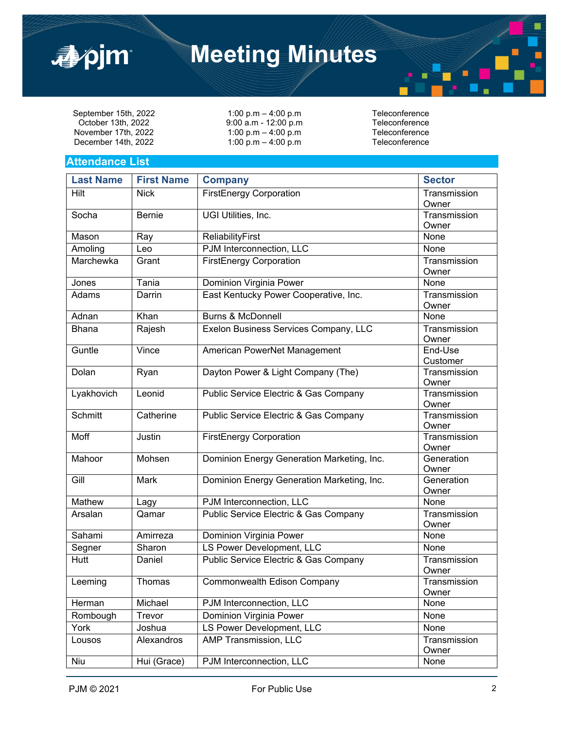

# **Meeting Minutes**

September 15th, 2022 1:00 p.m – 4:00 p.m<br>Cotober 13th, 2022 9:00 a.m - 12:00 p.m Teleconference November 17th, 2022 1:00 p.m – 4:00 p.m<br>December 14th, 2022 1:00 p.m – 4:00 p.m – Teleconference December 14th, 2022

 $9:00$  a.m - 12:00 p.m<br>  $1:00$  p.m - 4:00 p.m Teleconference

#### **Attendance List**

| <b>Last Name</b> | <b>First Name</b> | <b>Company</b>                                   | <b>Sector</b>         |
|------------------|-------------------|--------------------------------------------------|-----------------------|
| Hilt             | <b>Nick</b>       | <b>FirstEnergy Corporation</b>                   | Transmission<br>Owner |
| Socha            | <b>Bernie</b>     | UGI Utilities, Inc.                              | Transmission<br>Owner |
| Mason            | Ray               | ReliabilityFirst                                 | None                  |
| Amoling          | Leo               | PJM Interconnection, LLC                         | None                  |
| Marchewka        | Grant             | <b>FirstEnergy Corporation</b>                   | Transmission<br>Owner |
| Jones            | Tania             | Dominion Virginia Power                          | None                  |
| Adams            | Darrin            | East Kentucky Power Cooperative, Inc.            | Transmission<br>Owner |
| Adnan            | Khan              | <b>Burns &amp; McDonnell</b>                     | None                  |
| <b>Bhana</b>     | Rajesh            | Exelon Business Services Company, LLC            | Transmission<br>Owner |
| Guntle           | Vince             | American PowerNet Management                     | End-Use<br>Customer   |
| Dolan            | Ryan              | Dayton Power & Light Company (The)               | Transmission<br>Owner |
| Lyakhovich       | Leonid            | Public Service Electric & Gas Company            | Transmission<br>Owner |
| Schmitt          | Catherine         | Public Service Electric & Gas Company            | Transmission<br>Owner |
| Moff             | Justin            | <b>FirstEnergy Corporation</b>                   | Transmission<br>Owner |
| Mahoor           | Mohsen            | Dominion Energy Generation Marketing, Inc.       | Generation<br>Owner   |
| Gill             | Mark              | Dominion Energy Generation Marketing, Inc.       | Generation<br>Owner   |
| Mathew           | Lagy              | PJM Interconnection, LLC                         | None                  |
| Arsalan          | Qamar             | Public Service Electric & Gas Company            | Transmission<br>Owner |
| Sahami           | Amirreza          | Dominion Virginia Power                          | None                  |
| Segner           | Sharon            | LS Power Development, LLC                        | None                  |
| Hutt             | Daniel            | <b>Public Service Electric &amp; Gas Company</b> | Transmission<br>Owner |
| Leeming          | Thomas            | Commonwealth Edison Company                      | Transmission<br>Owner |
| Herman           | Michael           | PJM Interconnection, LLC                         | None                  |
| Rombough         | Trevor            | Dominion Virginia Power                          | None                  |
| York             | Joshua            | LS Power Development, LLC                        | None                  |
| Lousos           | Alexandros        | AMP Transmission, LLC                            | Transmission<br>Owner |
| Niu              | Hui (Grace)       | PJM Interconnection, LLC                         | None                  |